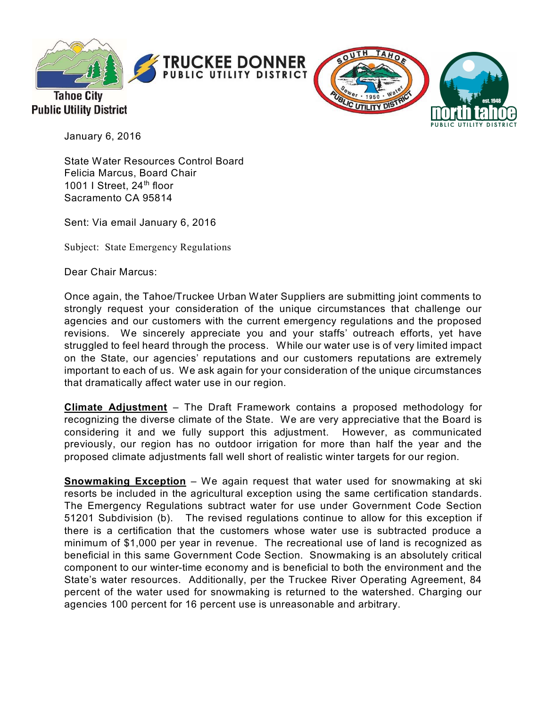

**Tahoe City** 

**Public Utility District** 





January 6, 2016

State Water Resources Control Board Felicia Marcus, Board Chair 1001 I Street, 24<sup>th</sup> floor Sacramento CA 95814

Sent: Via email January 6, 2016

Subject: State Emergency Regulations

Dear Chair Marcus:

Once again, the Tahoe/Truckee Urban Water Suppliers are submitting joint comments to strongly request your consideration of the unique circumstances that challenge our agencies and our customers with the current emergency regulations and the proposed revisions. We sincerely appreciate you and your staffs' outreach efforts, yet have struggled to feel heard through the process. While our water use is of very limited impact on the State, our agencies' reputations and our customers reputations are extremely important to each of us. We ask again for your consideration of the unique circumstances that dramatically affect water use in our region.

**Climate Adjustment** – The Draft Framework contains a proposed methodology for recognizing the diverse climate of the State. We are very appreciative that the Board is considering it and we fully support this adjustment. However, as communicated previously, our region has no outdoor irrigation for more than half the year and the proposed climate adjustments fall well short of realistic winter targets for our region.

**Snowmaking Exception** – We again request that water used for snowmaking at ski resorts be included in the agricultural exception using the same certification standards. The Emergency Regulations subtract water for use under Government Code Section 51201 Subdivision (b). The revised regulations continue to allow for this exception if there is a certification that the customers whose water use is subtracted produce a minimum of \$1,000 per year in revenue. The recreational use of land is recognized as beneficial in this same Government Code Section. Snowmaking is an absolutely critical component to our winter-time economy and is beneficial to both the environment and the State's water resources. Additionally, per the Truckee River Operating Agreement, 84 percent of the water used for snowmaking is returned to the watershed. Charging our agencies 100 percent for 16 percent use is unreasonable and arbitrary.